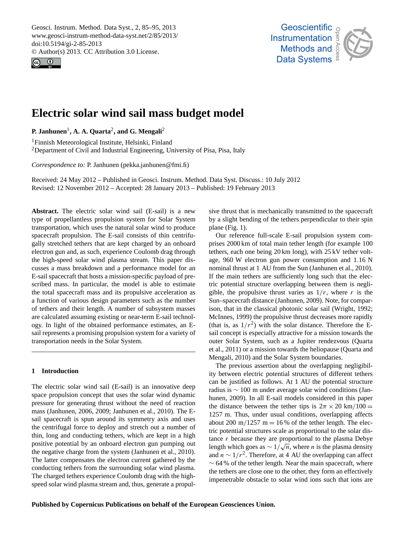<span id="page-0-0"></span>Geosci. Instrum. Method. Data Syst., 2, 85–95, 2013 www.geosci-instrum-method-data-syst.net/2/85/2013/ doi:10.5194/gi-2-85-2013 © Author(s) 2013. CC Attribution 3.0 License.





# **Electric solar wind sail mass budget model**

**P. Janhunen**<sup>1</sup> **, A. A. Quarta**<sup>2</sup> **, and G. Mengali**<sup>2</sup>

<sup>1</sup>Finnish Meteorological Institute, Helsinki, Finland <sup>2</sup>Department of Civil and Industrial Engineering, University of Pisa, Pisa, Italy

*Correspondence to:* P. Janhunen (pekka.janhunen@fmi.fi)

 $\overline{\mathcal{L}}$ Received: 24 May 2012 – Published in Geosci. Instrum. Method. Data Syst. Discuss.: 10 July 2012 Revised: 12 November 2012 – Accepted: 28 January 2013 – Published: 19 February 2013

**Abstract.** The electric solar wind sail (E-sail) is a new type of propellantless propulsion system for Solar System transportation, which uses the natural solar wind to produce spacecraft propulsion. The E-sail consists of thin centrifugally stretched tethers that are kept charged by an onboard electron gun and, as such, experience Coulomb drag through the high-speed solar wind plasma stream. This paper discusses a mass breakdown and a performance model for an E-sail spacecraft that hosts a mission-specific payload of prescribed mass. In particular, the model is able to estimate the total spacecraft mass and its propulsive acceleration as a function of various design parameters such as the number of tethers and their length. A number of subsystem masses are calculated assuming existing or near-term E-sail technology. In light of the obtained performance estimates, an Esail represents a promising propulsion system for a variety of transportation needs in the Solar System.

## **1 Introduction**

The electric solar wind sail (E-sail) is an innovative deep space propulsion concept that uses the solar wind dynamic pressure for generating thrust without the need of reaction mass [\(Janhunen,](#page-9-0) [2006,](#page-9-0) [2009;](#page-9-1) [Janhunen et al.,](#page-9-2) [2010\)](#page-9-2). The Esail spacecraft is spun around its symmetry axis and uses the centrifugal force to deploy and stretch out a number of thin, long and conducting tethers, which are kept in a high positive potential by an onboard electron gun pumping out the negative charge from the system [\(Janhunen et al.,](#page-9-2) [2010\)](#page-9-2). The latter compensates the electron current gathered by the conducting tethers from the surrounding solar wind plasma. The charged tethers experience Coulomb drag with the highspeed solar wind plasma stream and, thus, generate a propul-

Open Access sive thrust that is mechanically transmitted to the spacecraft by a slight bending of the tethers perpendicular to their spin plane (Fig. [1\)](#page-1-0).

prises 2000 km of total main tether length (for example 100 s<br>r e<br>cV gible, the propulsive thrust varies as  $1/r$ , where r is the th<br>hth<br>e, Our reference full-scale E-sail propulsion system comtethers, each one being 20 km long), with 25 kV tether voltage, 960 W electron gun power consumption and 1.16 N nominal thrust at 1 AU from the Sun [\(Janhunen et al.,](#page-9-2) [2010\)](#page-9-2). If the main tethers are sufficiently long such that the electric potential structure overlapping between them is negli-Sun–spacecraft distance [\(Janhunen,](#page-9-1) [2009\)](#page-9-1). Note, for comparison, that in the classical photonic solar sail [\(Wright,](#page-10-0) [1992;](#page-10-0) [McInnes,](#page-9-3) [1999\)](#page-9-3) the propulsive thrust decreases more rapidly (that is, as  $1/r^2$ ) with the solar distance. Therefore the Esail concept is especially attractive for a mission towards the outer Solar System, such as a Jupiter rendezvous [\(Quarta](#page-10-1) [et al.,](#page-10-1) [2011\)](#page-10-1) or a mission towards the heliopause [\(Quarta and](#page-10-2) [Mengali,](#page-10-2) [2010\)](#page-10-2) and the Solar System boundaries.

The previous assertion about the overlapping negligibility between electric potential structures of different tethers can be justified as follows. At 1 AU the potential structure radius is ∼ 100 m under average solar wind conditions [\(Jan](#page-9-1)[hunen,](#page-9-1) [2009\)](#page-9-1). In all E-sail models considered in this paper the distance between the tether tips is  $2\pi \times 20$  km/100 = 1257 m. Thus, under usual conditions, overlapping affects about 200 m/1257 m = 16 % of the tether length. The electric potential structures scale as proportional to the solar distance *r* because they are proportional to the plasma Debye length which goes as  $\sim 1/\sqrt{n}$ , where *n* is the plasma density and  $n \sim 1/r^2$ . Therefore, at 4 AU the overlapping can affect ∼ 64 % of the tether length. Near the main spacecraft, where the tethers are close one to the other, they form an effectively impenetrable obstacle to solar wind ions such that ions are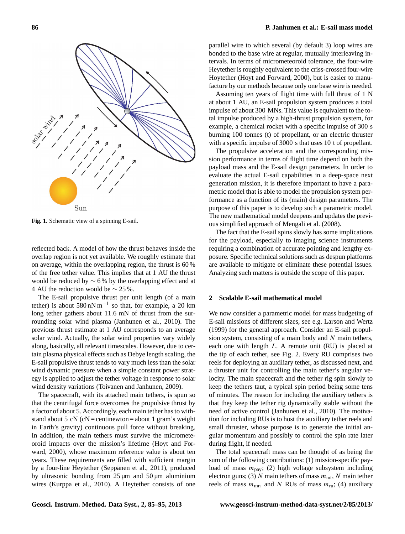

<span id="page-1-0"></span>**Fig. 1.** Schematic view of a spinning E-sail.

reflected back. A model of how the thrust behaves inside the overlap region is not yet available. We roughly estimate that on average, within the overlapping region, the thrust is 60 % of the free tether value. This implies that at 1 AU the thrust would be reduced by  $\sim$  6 % by the overlapping effect and at 4 AU the reduction would be ∼ 25 %.

The E-sail propulsive thrust per unit length (of a main tether) is about  $580 \text{ nN m}^{-1}$  so that, for example, a 20 km long tether gathers about 11.6 mN of thrust from the surrounding solar wind plasma [\(Janhunen et al.,](#page-9-2) [2010\)](#page-9-2). The previous thrust estimate at 1 AU corresponds to an average solar wind. Actually, the solar wind properties vary widely along, basically, all relevant timescales. However, due to certain plasma physical effects such as Debye length scaling, the E-sail propulsive thrust tends to vary much less than the solar wind dynamic pressure when a simple constant power strategy is applied to adjust the tether voltage in response to solar wind density variations [\(Toivanen and Janhunen,](#page-10-3) [2009\)](#page-10-3).

The spacecraft, with its attached main tethers, is spun so that the centrifugal force overcomes the propulsive thrust by a factor of about 5. Accordingly, each main tether has to withstand about 5 cN (cN = centinewton = about 1 gram's weight in Earth's gravity) continuous pull force without breaking. In addition, the main tethers must survive the micrometeoroid impacts over the mission's lifetime [\(Hoyt and For](#page-9-4)[ward,](#page-9-4) [2000\)](#page-9-4), whose maximum reference value is about ten years. These requirements are filled with sufficient margin by a four-line Heytether [\(Seppanen et al.](#page-10-4), [2011\)](#page-10-4), produced by ultrasonic bonding from  $25 \mu m$  and  $50 \mu m$  aluminium wires [\(Kurppa et al.,](#page-9-5) [2010\)](#page-9-5). A Heytether consists of one

## **86 P. Janhunen et al.: E-sail mass model**

parallel wire to which several (by default 3) loop wires are bonded to the base wire at regular, mutually interleaving intervals. In terms of micrometeoroid tolerance, the four-wire Heytether is roughly equivalent to the criss-crossed four-wire Hoytether [\(Hoyt and Forward,](#page-9-4) [2000\)](#page-9-4), but is easier to manufacture by our methods because only one base wire is needed.

Assuming ten years of flight time with full thrust of 1 N at about 1 AU, an E-sail propulsion system produces a total impulse of about 300 MNs. This value is equivalent to the total impulse produced by a high-thrust propulsion system, for example, a chemical rocket with a specific impulse of 300 s burning 100 tonnes (t) of propellant, or an electric thruster with a specific impulse of 3000 s that uses 10 t of propellant.

The propulsive acceleration and the corresponding mission performance in terms of flight time depend on both the payload mass and the E-sail design parameters. In order to evaluate the actual E-sail capabilities in a deep-space next generation mission, it is therefore important to have a parametric model that is able to model the propulsion system performance as a function of its (main) design parameters. The purpose of this paper is to develop such a parametric model. The new mathematical model deepens and updates the previous simplified approach of [Mengali et al.](#page-9-6) [\(2008\)](#page-9-6).

The fact that the E-sail spins slowly has some implications for the payload, especially to imaging science instruments requiring a combination of accurate pointing and lengthy exposure. Specific technical solutions such as despun platforms are available to mitigate or eliminate these potential issues. Analyzing such matters is outside the scope of this paper.

#### **2 Scalable E-sail mathematical model**

We now consider a parametric model for mass budgeting of E-sail missions of different sizes, see e.g. [Larson and Wertz](#page-9-7) [\(1999\)](#page-9-7) for the general approach. Consider an E-sail propulsion system, consisting of a main body and  $N$  main tethers, each one with length L. A remote unit (RU) is placed at the tip of each tether, see Fig. [2.](#page-2-0) Every RU comprises two reels for deploying an auxiliary tether, as discussed next, and a thruster unit for controlling the main tether's angular velocity. The main spacecraft and the tether rig spin slowly to keep the tethers taut, a typical spin period being some tens of minutes. The reason for including the auxiliary tethers is that they keep the tether rig dynamically stable without the need of active control [\(Janhunen et al.,](#page-9-2) [2010\)](#page-9-2). The motivation for including RUs is to host the auxiliary tether reels and small thruster, whose purpose is to generate the initial angular momentum and possibly to control the spin rate later during flight, if needed.

The total spacecraft mass can be thought of as being the sum of the following contributions: (1) mission-specific payload of mass  $m_{\text{pay}}$ ; (2) high voltage subsystem including electron guns; (3) N main tethers of mass  $m_{\text{mt}}$ , N main tether reels of mass  $m_{\text{mr}}$ , and N RUs of mass  $m_{\text{ru}}$ ; (4) auxiliary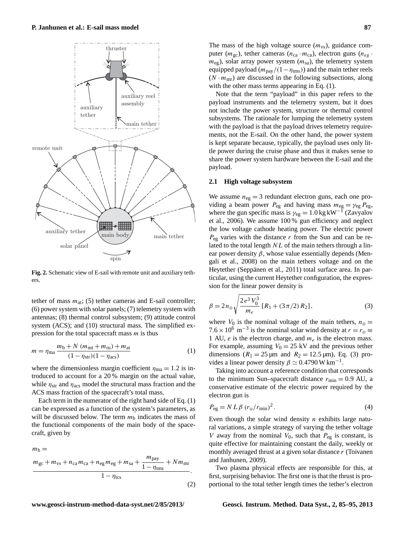

<span id="page-2-0"></span>**Fig. 2.** Schematic view of E-sail with remote unit and auxiliary tethers.

tether of mass  $m_{\text{at}}$ ; (5) tether cameras and E-sail controller; (6) power system with solar panels; (7) telemetry system with antennas; (8) thermal control subsystem; (9) attitude control system (ACS); and (10) structural mass. The simplified expression for the total spacecraft mass  $m$  is thus

$$
m = \eta_{\text{ma}} \frac{m_{\text{b}} + N (m_{\text{mt}} + m_{\text{ru}}) + m_{\text{at}}}{(1 - \eta_{\text{str}})(1 - \eta_{\text{acs}})}
$$
(1)

where the dimensionless margin coefficient  $\eta_{\text{ma}} = 1.2$  is introduced to account for a 20 % margin on the actual value, while  $\eta_{\text{str}}$  and  $\eta_{\text{acs}}$  model the structural mass fraction and the ACS mass fraction of the spacecraft's total mass.

Each term in the numerator of the right hand side of Eq. [\(1\)](#page-2-1) can be expressed as a function of the system's parameters, as will be discussed below. The term  $m<sub>b</sub>$  indicates the mass of the functional components of the main body of the spacecraft, given by

 $m<sub>b</sub>$  $m_{\text{gc}} + m_{\text{vs}} + n_{\text{ca}} m_{\text{ca}} + n_{\text{eg}} m_{\text{eg}} + m_{\text{sa}} + \frac{m_{\text{pay}}}{1}$  $\frac{m_{\text{pay}}}{1 - \eta_{\text{rms}}} + Nm_{\text{mr}}$  $\frac{1}{1 - \eta_{\text{tcs}}}$ . (2) The mass of the high voltage source  $(m_{vs})$ , guidance computer ( $m_{\rm gc}$ ), tether cameras ( $n_{\rm ca} \cdot m_{\rm ca}$ ), electron guns ( $n_{eg} \cdot m_{eg}$ )  $m_{eg}$ ), solar array power system  $(m_{sa})$ , the telemetry system equipped payload ( $m_{\text{pay}}/(1-\eta_{\text{rms}})$ ) and the main tether reels  $(N \cdot m_{\text{mr}})$  are discussed in the following subsections, along with the other mass terms appearing in Eq.  $(1)$ .

Note that the term "payload" in this paper refers to the payload instruments and the telemetry system, but it does not include the power system, structure or thermal control subsystems. The rationale for lumping the telemetry system with the payload is that the payload drives telemetry requirements, not the E-sail. On the other hand, the power system is kept separate because, typically, the payload uses only little power during the cruise phase and thus it makes sense to share the power system hardware between the E-sail and the payload.

#### **2.1 High voltage subsystem**

We assume  $n_{eg} = 3$  redundant electron guns, each one providing a beam power  $P_{eg}$  and having mass  $m_{eg} = \gamma_{eg} P_{eg}$ , where the gun specific mass is  $\gamma_{eg} = 1.0 \text{ kg} \text{ kW}^{-1}$  [\(Zavyalov](#page-10-5) [et al.,](#page-10-5) [2006\)](#page-10-5). We assume 100 % gun efficiency and neglect the low voltage cathode heating power. The electric power  $P_{eg}$  varies with the distance r from the Sun and can be related to the total length  $NL$  of the main tethers through a linear power density  $\beta$ , whose value essentially depends [\(Men](#page-9-6)[gali et al.,](#page-9-6) [2008\)](#page-9-6) on the main tethers voltage and on the Heytether (Seppänen et al., [2011\)](#page-10-4) total surface area. In particular, using the current Heytether configuration, the expression for the linear power density is

<span id="page-2-2"></span>
$$
\beta = 2n_{\oplus} \sqrt{\frac{2e^3 V_0^3}{m_e}} [R_1 + (3\pi/2) R_2],
$$
\n(3)

<span id="page-2-1"></span>where  $V_0$  is the nominal voltage of the main tethers,  $n_{\oplus}$  = 7.6 × 10<sup>6</sup> m<sup>-3</sup> is the nominal solar wind density at  $r = r_{\oplus}$ 1 AU,  $e$  is the electron charge, and  $m_e$  is the electron mass. For example, assuming  $V_0 = 25$  kV and the previous tether dimensions ( $R_1 = 25 \,\text{\mu m}$  and  $R_2 = 12.5 \,\text{\mu m}$ ), Eq. [\(3\)](#page-2-2) provides a linear power density  $\beta \simeq 0.4790 \,\mathrm{W\,km^{-1}}$ .

Taking into account a reference condition that corresponds to the minimum Sun–spacecraft distance  $r_{\text{min}} = 0.9$  AU, a conservative estimate of the electric power required by the electron gun is

$$
P_{\rm eg} = N L \beta \left( r_{\rm \oplus} / r_{\rm min} \right)^2. \tag{4}
$$

Even though the solar wind density  $n$  exhibits large natural variations, a simple strategy of varying the tether voltage V away from the nominal  $V_0$ , such that  $P_{eg}$  is constant, is quite effective for maintaining constant the daily, weekly or monthly averaged thrust at a given solar distance r [\(Toivanen](#page-10-3) [and Janhunen,](#page-10-3) [2009\)](#page-10-3).

Two plasma physical effects are responsible for this, at first, surprising behavior. The first one is that the thrust is proportional to the total tether length times the tether's electron

**www.geosci-instrum-method-data-syst.net/2/85/2013/ Geosci. Instrum. Method. Data Syst., 2, 85[–95,](#page-0-0) 2013**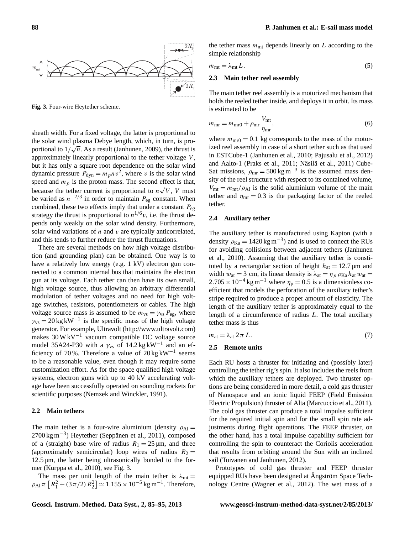

<span id="page-3-0"></span>**Fig. 3.** Four-wire Heytether scheme.

sheath width. For a fixed voltage, the latter is proportional to the solar wind plasma Debye length, which, in turn, is proportional to  $1/\sqrt{n}$ . As a result [\(Janhunen,](#page-9-1) [2009\)](#page-9-1), the thrust is approximately linearly proportional to the tether voltage  $V$ , but it has only a square root dependence on the solar wind dynamic pressure  $P_{\text{dyn}} = m_p n v^2$ , where v is the solar wind speed and  $m_p$  is the proton mass. The second effect is that, because the tether current is proportional to  $n\sqrt{V}$ , V must be varied as  $n^{-2/3}$  in order to maintain  $P_{eg}$  constant. When combined, these two effects imply that under a constant  $P_{eg}$ strategy the thrust is proportional to  $n^{1/6}v$ , i.e. the thrust depends only weakly on the solar wind density. Furthermore, solar wind variations of  $n$  and  $v$  are typically anticorrelated, and this tends to further reduce the thrust fluctuations.

There are several methods on how high voltage distribution (and grounding plan) can be obtained. One way is to have a relatively low energy (e.g. 1 kV) electron gun connected to a common internal bus that maintains the electron gun at its voltage. Each tether can then have its own small, high voltage source, thus allowing an arbitrary differential modulation of tether voltages and no need for high voltage switches, resistors, potentiometers or cables. The high voltage source mass is assumed to be  $m_{vs} = \gamma_{vs} P_{eg}$ , where  $\gamma_{\text{vs}} = 20 \text{ kg} \text{ kW}^{-1}$  is the specific mass of the high voltage generator. For example, Ultravolt [\(http://www.ultravolt.com\)](http://www.ultravolt.com) makes  $30 \,\mathrm{W} \,\mathrm{kV}^{-1}$  vacuum compatible DC voltage source model 35A24-P30 with a  $\gamma_{vs}$  of 14.2 kg kW<sup>-1</sup> and an efficiency of 70%. Therefore a value of  $20 \text{ kg} \text{ kW}^{-1}$  seems to be a reasonable value, even though it may require some customization effort. As for the space qualified high voltage systems, electron guns with up to 40 kV accelerating voltage have been successfully operated on sounding rockets for scientific purposes [\(Nemzek and Winckler,](#page-9-8) [1991\)](#page-9-8).

#### **2.2 Main tethers**

The main tether is a four-wire aluminium (density  $\rho_{Al}$  = 2700 kg m<sup>-3</sup>) Heytether (Seppänen et al., [2011\)](#page-10-4), composed of a (straight) base wire of radius  $R_1 = 25 \,\text{\mu m}$ , and three (approximately semicircular) loop wires of radius  $R_2 =$  $12.5 \,\mu m$ , the latter being ultrasonically bonded to the former [\(Kurppa et al.,](#page-9-5) [2010\)](#page-9-5), see Fig. [3.](#page-3-0)

The mass per unit length of the main tether is  $\lambda_{mt} =$  $\rho_{\rm Al} \pi \left[ R_1^2 + (3\pi/2) R_2^2 \right] \simeq 1.155 \times 10^{-5} \,\text{kg m}^{-1}$ . Therefore,

the tether mass  $m<sub>mt</sub>$  depends linearly on L according to the simple relationship

$$
m_{\rm mt} = \lambda_{\rm mt} L. \tag{5}
$$

#### **2.3 Main tether reel assembly**

The main tether reel assembly is a motorized mechanism that holds the reeled tether inside, and deploys it in orbit. Its mass is estimated to be

$$
m_{\rm mr} = m_{\rm mr0} + \rho_{\rm mr} \frac{V_{\rm mt}}{\eta_{\rm mr}},\tag{6}
$$

where  $m_{\text{m}0} = 0.1$  kg corresponds to the mass of the motorized reel assembly in case of a short tether such as that used in ESTCube-1 [\(Janhunen et al.,](#page-9-2) [2010;](#page-9-2) [Pajusalu et al.,](#page-9-9) [2012\)](#page-9-9) and Aalto-1 [\(Praks et al.,](#page-9-10) [2011;](#page-9-10) Näsilä et al., [2011\)](#page-9-11) Cube-Sat missions,  $\rho_{mr} = 500 \text{ kg m}^{-3}$  is the assumed mass density of the reel structure with respect to its contained volume,  $V_{\text{mt}} = m_{\text{mt}}/\rho_{\text{Al}}$  is the solid aluminium volume of the main tether and  $\eta_{\text{mr}} = 0.3$  is the packaging factor of the reeled tether.

#### **2.4 Auxiliary tether**

The auxiliary tether is manufactured using Kapton (with a density  $\rho_{\text{Ka}} = 1420 \text{ kg m}^{-3}$ ) and is used to connect the RUs for avoiding collisions between adjacent tethers [\(Janhunen](#page-9-2) [et al.,](#page-9-2) [2010\)](#page-9-2). Assuming that the auxiliary tether is constituted by a rectangular section of height  $h_{at} = 12.7 \,\text{\mu m}$  and width  $w_{at} = 3$  cm, its linear density is  $\lambda_{at} = \eta_p \rho_{Ka} h_{at} w_{at}$  $2.705 \times 10^{-4}$  kg m<sup>-1</sup> where  $\eta_p = 0.5$  is a dimensionless coefficient that models the perforation of the auxiliary tether's stripe required to produce a proper amount of elasticity. The length of the auxiliary tether is approximately equal to the length of a circumference of radius L. The total auxiliary tether mass is thus

$$
m_{\rm at} = \lambda_{\rm at} 2\pi L. \tag{7}
$$

#### **2.5 Remote units**

Each RU hosts a thruster for initiating and (possibly later) controlling the tether rig's spin. It also includes the reels from which the auxiliary tethers are deployed. Two thruster options are being considered in more detail, a cold gas thruster of Nanospace and an ionic liquid FEEP (Field Emission Electric Propulsion) thruster of Alta [\(Marcuccio et al.,](#page-9-12) [2011\)](#page-9-12). The cold gas thruster can produce a total impulse sufficient for the required initial spin and for the small spin rate adjustments during flight operations. The FEEP thruster, on the other hand, has a total impulse capability sufficient for controlling the spin to counteract the Coriolis acceleration that results from orbiting around the Sun with an inclined sail [\(Toivanen and Janhunen,](#page-10-6) [2012\)](#page-10-6).

Prototypes of cold gas thruster and FEEP thruster equipped RUs have been designed at Angström Space Technology Centre [\(Wagner et al.,](#page-10-7) [2012\)](#page-10-7). The wet mass of a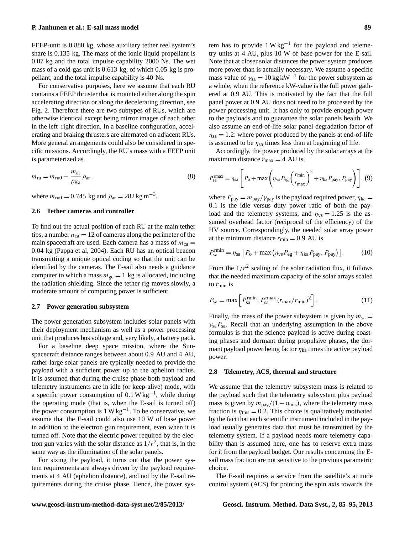## **P. Janhunen et al.: E-sail mass model 89**

FEEP-unit is 0.880 kg, whose auxiliary tether reel system's share is 0.135 kg. The mass of the ionic liquid propellant is 0.07 kg and the total impulse capability 2000 Ns. The wet mass of a cold-gas unit is 0.613 kg, of which 0.05 kg is propellant, and the total impulse capability is 40 Ns.

For conservative purposes, here we assume that each RU contains a FEEP thruster that is mounted either along the spin accelerating direction or along the decelerating direction, see Fig. [2.](#page-2-0) Therefore there are two subtypes of RUs, which are otherwise identical except being mirror images of each other in the left–right direction. In a baseline configuration, accelerating and braking thrusters are alternated on adjacent RUs. More general arrangements could also be considered in specific missions. Accordingly, the RU's mass with a FEEP unit is parameterized as

$$
m_{\rm ru} = m_{\rm ru0} + \frac{m_{\rm at}}{\rho_{\rm Ka}} \rho_{\rm ar} \,,\tag{8}
$$

where  $m_{\text{ru0}} = 0.745 \text{ kg}$  and  $\rho_{\text{ar}} = 282 \text{ kg m}^{-3}$ .

#### **2.6 Tether cameras and controller**

To find out the actual position of each RU at the main tether tips, a number  $n_{ca} = 12$  of cameras along the perimeter of the main spacecraft are used. Each camera has a mass of  $m_{ca} =$ 0.04 kg [\(Pappa et al,](#page-9-13) [2004\)](#page-9-13). Each RU has an optical beacon transmitting a unique optical coding so that the unit can be identified by the cameras. The E-sail also needs a guidance computer to which a mass  $m_{\rm gc} = 1$  kg is allocated, including the radiation shielding. Since the tether rig moves slowly, a moderate amount of computing power is sufficient.

#### **2.7 Power generation subsystem**

The power generation subsystem includes solar panels with their deployment mechanism as well as a power processing unit that produces bus voltage and, very likely, a battery pack.

For a baseline deep space mission, where the Sunspacecraft distance ranges between about 0.9 AU and 4 AU, rather large solar panels are typically needed to provide the payload with a sufficient power up to the aphelion radius. It is assumed that during the cruise phase both payload and telemetry instruments are in idle (or keep-alive) mode, with a specific power consumption of  $0.1 \text{ W kg}^{-1}$ , while during the operating mode (that is, when the E-sail is turned off) the power consumption is  $1 \text{ W kg}^{-1}$ . To be conservative, we assume that the E-sail could also use 10 W of base power in addition to the electron gun requirement, even when it is turned off. Note that the electric power required by the electron gun varies with the solar distance as  $1/r<sup>2</sup>$ , that is, in the same way as the illumination of the solar panels.

For sizing the payload, it turns out that the power system requirements are always driven by the payload requirements at 4 AU (aphelion distance), and not by the E-sail requirements during the cruise phase. Hence, the power sys-

tem has to provide  $1 W kg^{-1}$  for the payload and telemetry units at 4 AU, plus 10 W of base power for the E-sail. Note that at closer solar distances the power system produces more power than is actually necessary. We assume a specific mass value of  $\gamma_{sa} = 10 \text{ kg} \text{ kW}^{-1}$  for the power subsystem as a whole, when the reference kW-value is the full power gathered at 0.9 AU. This is motivated by the fact that the full panel power at 0.9 AU does not need to be processed by the power processing unit. It has only to provide enough power to the payloads and to guarantee the solar panels health. We also assume an end-of-life solar panel degradation factor of  $\eta_{sa} = 1.2$ : where power produced by the panels at end-of-life is assumed to be  $\eta_{sa}$  times less than at beginning of life.

Accordingly, the power produced by the solar arrays at the maximum distance  $r_{\text{max}} = 4$  AU is

$$
P_{\rm sa}^{\rm rmax} = \eta_{\rm sa} \left[ P_0 + \max \left( \eta_{\rm vs} P_{\rm eg} \left( \frac{r_{\rm min}}{r_{\rm max}} \right)^2 + \eta_{\rm ka} P_{\rm pay}, P_{\rm pay} \right) \right], (9)
$$

where  $P_{\text{pay}} = m_{\text{pay}} / \gamma_{\text{pay}}$  is the payload required power,  $\eta_{\text{ka}} =$ 0.1 is the idle versus duty power ratio of both the payload and the telemetry systems, and  $\eta_{vs} = 1.25$  is the assumed overhead factor (reciprocal of the efficiency) of the HV source. Correspondingly, the needed solar array power at the minimum distance  $r_{\text{min}} = 0.9$  AU is

$$
P_{\text{sa}}^{\text{rmin}} = \eta_{\text{sa}} \left[ P_{\text{o}} + \max \left( \eta_{\text{vs}} P_{\text{eg}} + \eta_{\text{ka}} P_{\text{pay}}, P_{\text{pay}} \right) \right]. \tag{10}
$$

From the  $1/r^2$  scaling of the solar radiation flux, it follows that the needed maximum capacity of the solar arrays scaled to  $r_{\rm min}$  is

$$
P_{\rm sa} = \max \left[ P_{\rm sa}^{\rm rmin}, P_{\rm sa}^{\rm rmax} (r_{\rm max}/r_{\rm min})^2 \right]. \tag{11}
$$

Finally, the mass of the power subsystem is given by  $m_{sa} =$  $\gamma_{sa}P_{sa}$ . Recall that an underlying assumption in the above formulas is that the science payload is active during coasting phases and dormant during propulsive phases, the dormant payload power being factor  $\eta_{ka}$  times the active payload power.

#### **2.8 Telemetry, ACS, thermal and structure**

We assume that the telemetry subsystem mass is related to the payload such that the telemetry subsystem plus payload mass is given by  $m_{\text{pay}}/(1 - \eta_{\text{rms}})$ , where the telemetry mass fraction is  $\eta_{\text{tms}} = 0.2$ . This choice is qualitatively motivated by the fact that each scientific instrument included in the payload usually generates data that must be transmitted by the telemetry system. If a payload needs more telemetry capability than is assumed here, one has to reserve extra mass for it from the payload budget. Our results concerning the Esail mass fraction are not sensitive to the previous parametric choice.

The E-sail requires a service from the satellite's attitude control system (ACS) for pointing the spin axis towards the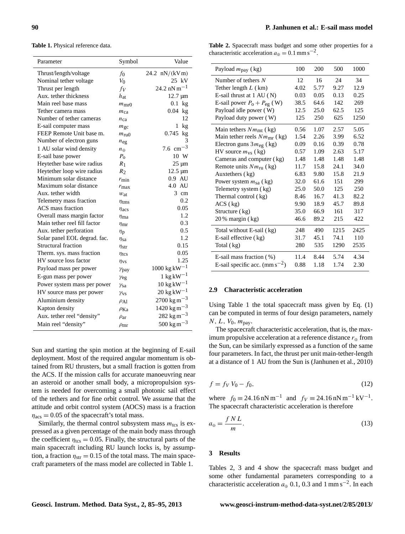<span id="page-5-0"></span>**Table 1.** Physical reference data.

| Parameter                    | Symbol              | Value                             |
|------------------------------|---------------------|-----------------------------------|
| Thrust/length/voltage        | $f_0$               | 24.2 $nN/(kVm)$                   |
| Nominal tether voltage       | $V_0$               | 25 kV                             |
| Thrust per length            | $f_V$               | 24.2 nN m <sup>-1</sup>           |
| Aux. tether thickness        | $h_{\rm at}$        | $12.7 \mu m$                      |
| Main reel base mass          | $m_{\rm mro}$       | $0.1$ kg                          |
| Tether camera mass           | $m_{ca}$            | $0.04$ kg                         |
| Number of tether cameras     | $n_{\rm ca}$        | 12                                |
| E-sail computer mass         | $m_{\rm gc}$        | 1<br>kg                           |
| FEEP Remote Unit base m.     | $m_{\rm ru0}$       | $0.745$ kg                        |
| Number of electron guns      | $n_{eg}$            |                                   |
| 1 AU solar wind density      | $n_{\oplus}$        | $7.6 \text{ cm}$                  |
| E-sail base power            | $P_{\Omega}$        | 10 W                              |
| Heytether base wire radius   | $R_1$               | $25 \mu m$                        |
| Heytether loop wire radius   | $R_2$               | $12.5 \mu m$                      |
| Minimum solar distance       | $r_{\rm min}$       | 0.9 AU                            |
| Maximum solar distance       | $r_{\rm max}$       | 4.0 AU                            |
| Aux. tether width            | $w_{at}$            | 3 cm                              |
| Telemetry mass fraction      | $\eta$ tms          | 0.2                               |
| ACS mass fraction            | $\eta_{\text{acs}}$ | 0.05                              |
| Overall mass margin factor   | $\eta_{\text{ma}}$  | 1.2                               |
| Main tether reel fill factor | $\eta_{\rm mr}$     | 0.3                               |
| Aux. tether perforation      | $\eta_{\rm p}$      | 0.5                               |
| Solar panel EOL degrad. fac. | $\eta$ sa           | 1.2                               |
| Structural fraction          | $\eta_{\rm str}$    | 0.15                              |
| Therm. sys. mass fraction    | $\eta_{\text{tcs}}$ | 0.05                              |
| HV source loss factor        | $\eta_{\text{VS}}$  | 1.25                              |
| Payload mass per power       | Ypay                | $1000 \text{ kg} \text{ kW}^{-1}$ |
| E-gun mass per power         | $\gamma_{eg}$       | $1 \text{ kg} \text{kW}^{-1}$     |
| Power system mass per power  | Ysa                 | $10 \text{ kg} \text{ kW}^{-1}$   |
| HV source mass per power     | $\gamma_{\rm VS}$   | $20 \text{ kg} \text{kW}^{-1}$    |
| Aluminium density            | $\rho_{\rm Al}$     | $2700 \text{ kg m}^{-3}$          |
| Kapton density               | $\rho_{\rm Ka}$     | $1420 \text{ kg m}^{-3}$          |
| Aux. tether reel "density"   | $\rho_{\text{ar}}$  | 282 kg m $^{-3}$                  |
| Main reel "density"          | $\rho_{\rm mr}$     | $500 \text{ kg m}^{-3}$           |

Sun and starting the spin motion at the beginning of E-sail deployment. Most of the required angular momentum is obtained from RU thrusters, but a small fraction is gotten from the ACS. If the mission calls for accurate manoeuvring near an asteroid or another small body, a micropropulsion system is needed for overcoming a small photonic sail effect of the tethers and for fine orbit control. We assume that the attitude and orbit control system (AOCS) mass is a fraction  $\eta_{\text{acs}} = 0.05$  of the spacecraft's total mass.

Similarly, the thermal control subsystem mass  $m_{\text{tcs}}$  is expressed as a given percentage of the main body mass through the coefficient  $\eta_{\text{tcs}} = 0.05$ . Finally, the structural parts of the main spacecraft including RU launch locks is, by assumption, a fraction  $\eta_{str} = 0.15$  of the total mass. The main spacecraft parameters of the mass model are collected in Table [1.](#page-5-0)

<span id="page-5-1"></span>**Table 2.** Spacecraft mass budget and some other properties for a characteristic acceleration  $a_{\oplus} = 0.1$  mm s<sup>-2</sup>.

| Payload $m_{\text{pay}}$ (kg)             | 100  | 200  | 500  | 1000 |
|-------------------------------------------|------|------|------|------|
| Number of tethers $N$                     | 12   | 16   | 24   | 34   |
| Tether length $L$ (km)                    | 4.02 | 5.77 | 9.27 | 12.9 |
| E-sail thrust at $1 \text{ AU}(\text{N})$ | 0.03 | 0.05 | 0.13 | 0.25 |
| E-sail power $P_0 + P_{eg}$ (W)           | 38.5 | 64.6 | 142  | 269  |
| Payload idle power (W)                    | 12.5 | 25.0 | 62.5 | 125  |
| Payload duty power (W)                    | 125  | 250  | 625  | 1250 |
| Main tethers $Nmmt$ (kg)                  | 0.56 | 1.07 | 2.57 | 5.05 |
| Main tether reels $Nm_{\text{mr}}$ (kg)   | 1.54 | 2.26 | 3.99 | 6.52 |
| Electron guns $3m_{eg}$ (kg)              | 0.09 | 0.16 | 0.39 | 0.78 |
| HV source $m_{VS}$ (kg)                   | 0.57 | 1.09 | 2.63 | 5.17 |
| Cameras and computer (kg)                 | 1.48 | 1.48 | 1.48 | 1.48 |
| Remote units $Nm_{\text{ru}}$ (kg)        | 11.7 | 15.8 | 24.1 | 34.0 |
| Auxtethers (kg)                           | 6.83 | 9.80 | 15.8 | 21.9 |
| Power system $m_{sa}$ (kg)                | 32.0 | 61.6 | 151  | 299  |
| Telemetry system (kg)                     | 25.0 | 50.0 | 125  | 250  |
| Thermal control (kg)                      | 8.46 | 16.7 | 41.3 | 82.2 |
| ACS (kg)                                  | 9.90 | 18.9 | 45.7 | 89.8 |
| Structure (kg)                            | 35.0 | 66.9 | 161  | 317  |
| $20\%$ margin (kg)                        | 46.6 | 89.2 | 215  | 422  |
| Total without E-sail (kg)                 | 248  | 490  | 1215 | 2425 |
| E-sail effective (kg)                     | 31.7 | 45.1 | 74.1 | 110  |
| Total (kg)                                | 280  | 535  | 1290 | 2535 |
| E-sail mass fraction $(\%)$               | 11.4 | 8.44 | 5.74 | 4.34 |
| E-sail specific acc. $(mm s^{-2})$        | 0.88 | 1.18 | 1.74 | 2.30 |

### **2.9 Characteristic acceleration**

Using Table [1](#page-5-0) the total spacecraft mass given by Eq. [\(1\)](#page-2-1) can be computed in terms of four design parameters, namely  $N, L, V_0, m_{\text{pay}}.$ 

The spacecraft characteristic acceleration, that is, the maximum propulsive acceleration at a reference distance  $r_{\oplus}$  from the Sun, can be similarly expressed as a function of the same four parameters. In fact, the thrust per unit main-tether-length at a distance of 1 AU from the Sun is [\(Janhunen et al.,](#page-9-2) [2010\)](#page-9-2)

$$
f = f_V V_0 - f_0,\tag{12}
$$

where  $f_0 = 24.16 \text{ nN m}^{-1}$  and  $f_V = 24.16 \text{ nN m}^{-1} \text{ kV}^{-1}$ . The spacecraft characteristic acceleration is therefore

$$
a_{\oplus} = \frac{f \, NL}{m}.\tag{13}
$$

## **3 Results**

Tables [2,](#page-5-1) [3](#page-6-0) and [4](#page-6-1) show the spacecraft mass budget and some other fundamental parameters corresponding to a characteristic acceleration  $a_{\oplus}$  0.1, 0.3 and 1 mm s<sup>-2</sup>. In each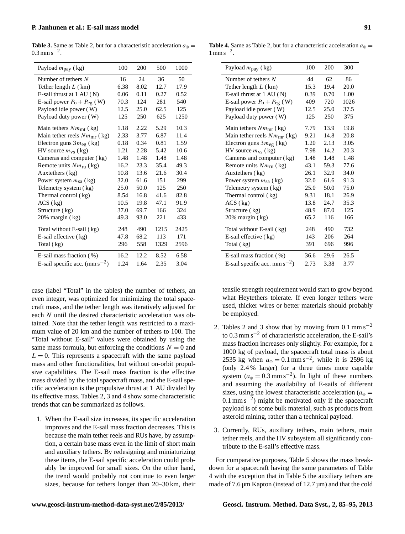<span id="page-6-0"></span>**Table 3.** Same as Table [2,](#page-5-1) but for a characteristic acceleration  $a_{\oplus}$  =  $0.3$  mm s<sup>-2</sup>.

| Payload $m_{\text{pay}}$ (kg)             | 100  | 200  | 500  | 1000 |
|-------------------------------------------|------|------|------|------|
| Number of tethers $N$                     | 16   | 24   | 36   | 50   |
| Tether length $L$ (km)                    | 6.38 | 8.02 | 12.7 | 17.9 |
| E-sail thrust at $1 \text{ AU}(\text{N})$ | 0.06 | 0.11 | 0.27 | 0.52 |
| E-sail power $P_0 + P_{eg}$ (W)           | 70.3 | 124  | 281  | 540  |
| Payload idle power (W)                    | 12.5 | 25.0 | 62.5 | 125  |
| Payload duty power (W)                    | 125  | 250  | 625  | 1250 |
| Main tethers $Nmmt$ (kg)                  | 1.18 | 2.22 | 5.29 | 10.3 |
| Main tether reels $Nm_{\text{mr}}$ (kg)   | 2.33 | 3.77 | 6.87 | 11.4 |
| Electron guns $3m_{eg}$ (kg)              | 0.18 | 0.34 | 0.81 | 1.59 |
| HV source $m_{\rm vs}$ (kg)               | 1.21 | 2.28 | 5.42 | 10.6 |
| Cameras and computer (kg)                 | 1.48 | 1.48 | 1.48 | 1.48 |
| Remote units $Nm_{\text{ru}}$ (kg)        | 16.2 | 23.3 | 35.4 | 49.3 |
| Auxtethers (kg)                           | 10.8 | 13.6 | 21.6 | 30.4 |
| Power system $m_{sa}$ (kg)                | 32.0 | 61.6 | 151  | 299  |
| Telemetry system (kg)                     | 25.0 | 50.0 | 125  | 250  |
| Thermal control (kg)                      | 8.54 | 16.8 | 41.6 | 82.8 |
| ACS (kg)                                  | 10.5 | 19.8 | 47.1 | 91.9 |
| Structure (kg)                            | 37.0 | 69.7 | 166  | 324  |
| 20% margin (kg)                           | 49.3 | 93.0 | 221  | 433  |
| Total without E-sail (kg)                 | 248  | 490  | 1215 | 2425 |
| E-sail effective (kg)                     | 47.8 | 68.2 | 113  | 171  |
| Total (kg)                                | 296  | 558  | 1329 | 2596 |
| E-sail mass fraction $(\% )$              | 16.2 | 12.2 | 8.52 | 6.58 |
| E-sail specific acc. $(mm s^{-2})$        | 1.24 | 1.64 | 2.35 | 3.04 |

case (label "Total" in the tables) the number of tethers, an even integer, was optimized for minimizing the total spacecraft mass, and the tether length was iteratively adjusted for each N until the desired characteristic acceleration was obtained. Note that the tether length was restricted to a maximum value of 20 km and the number of tethers to 100. The "Total without E-sail" values were obtained by using the same mass formula, but enforcing the conditions  $N = 0$  and  $L = 0$ . This represents a spacecraft with the same payload mass and other functionalities, but without on-orbit propulsive capabilities. The E-sail mass fraction is the effective mass divided by the total spacecraft mass, and the E-sail specific acceleration is the propulsive thrust at 1 AU divided by its effective mass. Tables [2,](#page-5-1) [3](#page-6-0) and [4](#page-6-1) show some characteristic trends that can be summarized as follows.

1. When the E-sail size increases, its specific acceleration improves and the E-sail mass fraction decreases. This is because the main tether reels and RUs have, by assumption, a certain base mass even in the limit of short main and auxiliary tethers. By redesigning and miniaturizing these items, the E-sail specific acceleration could probably be improved for small sizes. On the other hand, the trend would probably not continue to even larger sizes, because for tethers longer than 20–30 km, their

<span id="page-6-1"></span>

| Payload $m_{\text{pay}}$ (kg)             | 100  | 200  | 300  |
|-------------------------------------------|------|------|------|
| Number of tethers $N$                     | 44   | 62   | 86   |
| Tether length $L$ (km)                    | 15.3 | 19.4 | 20.0 |
| E-sail thrust at $1 \text{ AU}(\text{N})$ | 0.39 | 0.70 | 1.00 |
| E-sail power $P_0 + P_{eg}$ (W)           | 409  | 720  | 1026 |
| Payload idle power (W)                    | 12.5 | 25.0 | 37.5 |
| Payload duty power (W)                    | 125  | 250  | 375  |
| Main tethers $Nmmt$ (kg)                  | 7.79 | 13.9 | 19.8 |
| Main tether reels $Nm_{\text{mr}}$ (kg)   | 9.21 | 14.8 | 20.8 |
| Electron guns $3m_{eg}$ (kg)              | 1.20 | 2.13 | 3.05 |
| HV source $m_{\text{vs}}$ (kg)            | 7.98 | 14.2 | 20.3 |
| Cameras and computer (kg)                 | 1.48 | 1.48 | 1.48 |
| Remote units $Nm_{\text{ru}}$ (kg)        | 43.1 | 59.3 | 77.6 |
| Auxtethers (kg)                           | 26.1 | 32.9 | 34.0 |
| Power system $m_{sa}$ (kg)                | 32.0 | 61.6 | 91.3 |
| Telemetry system (kg)                     | 25.0 | 50.0 | 75.0 |
| Thermal control (kg)                      | 9.31 | 18.1 | 26.9 |
| ACS (kg)                                  | 13.8 | 24.7 | 35.3 |
| Structure (kg)                            | 48.9 | 87.0 | 125  |
| $20\%$ margin $(kg)$                      | 65.2 | 116  | 166  |
| Total without E-sail (kg)                 | 248  | 490  | 732  |
| E-sail effective (kg)                     | 143  | 206  | 264  |
| Total (kg)                                | 391  | 696  | 996  |
| E-sail mass fraction $(\%)$               | 36.6 | 29.6 | 26.5 |
| E-sail specific acc. mm s <sup>-2</sup> ) | 2.73 | 3.38 | 3.77 |

tensile strength requirement would start to grow beyond what Heytethers tolerate. If even longer tethers were used, thicker wires or better materials should probably be employed.

- [2](#page-5-1). Tables 2 and [3](#page-6-0) show that by moving from  $0.1 \text{ mm s}^{-2}$ to 0.3 mm s<sup> $-2$ </sup> of characteristic acceleration, the E-sail's mass fraction increases only slightly. For example, for a 1000 kg of payload, the spacecraft total mass is about 2535 kg when  $a_{\oplus} = 0.1$  mm s<sup>-2</sup>, while it is 2596 kg (only 2.4 % larger) for a three times more capable system  $(a_{\oplus} = 0.3 \text{ mm s}^{-2})$ . In light of these numbers and assuming the availability of E-sails of different sizes, using the lowest characteristic acceleration ( $a_{\oplus}$  = 0.1 mm s<sup> $-2$ </sup>) might be motivated only if the spacecraft payload is of some bulk material, such as products from asteroid mining, rather than a technical payload.
- 3. Currently, RUs, auxiliary tethers, main tethers, main tether reels, and the HV subsystem all significantly contribute to the E-sail's effective mass.

For comparative purposes, Table [5](#page-7-0) shows the mass breakdown for a spacecraft having the same parameters of Table [4](#page-6-1) with the exception that in Table [5](#page-7-0) the auxiliary tethers are made of 7.6  $\mu$ m Kapton (instead of 12.7  $\mu$ m) and that the cold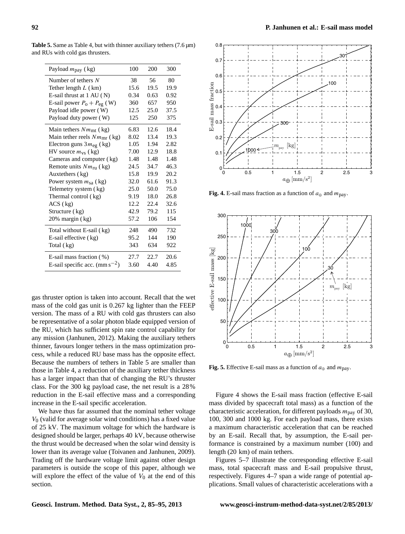| Payload $m_{\text{pay}}$ (kg)             | 100  | 200  | 300  |
|-------------------------------------------|------|------|------|
| Number of tethers $N$                     | 38   | 56   | 80   |
| Tether length $L$ (km)                    | 15.6 | 19.5 | 19.9 |
| E-sail thrust at $1 \text{ AU}(\text{N})$ | 0.34 | 0.63 | 0.92 |
| E-sail power $P_0 + P_{eg}$ (W)           | 360  | 657  | 950  |
| Payload idle power (W)                    | 12.5 | 25.0 | 37.5 |
| Payload duty power (W)                    | 125  | 250  | 375  |
| Main tethers $Nmmt$ (kg)                  | 6.83 | 12.6 | 18.4 |
| Main tether reels $Nmmr$ (kg)             | 8.02 | 13.4 | 19.3 |
| Electron guns $3m_{eg}$ (kg)              | 1.05 | 1.94 | 2.82 |
| HV source $m_{\text{vs}}$ (kg)            | 7.00 | 12.9 | 18.8 |
| Cameras and computer (kg)                 | 1.48 | 1.48 | 1.48 |
| Remote units $Nm_{\text{ru}}$ (kg)        | 24.5 | 34.7 | 46.3 |
| Auxtethers (kg)                           | 15.8 | 19.9 | 20.2 |
| Power system $m_{sa}$ (kg)                | 32.0 | 61.6 | 91.3 |
| Telemetry system (kg)                     | 25.0 | 50.0 | 75.0 |
| Thermal control (kg)                      | 9.19 | 18.0 | 26.8 |
| ACS (kg)                                  | 12.2 | 22.4 | 32.6 |
| Structure (kg)                            | 42.9 | 79.2 | 115  |
| $20\%$ margin $(kg)$                      | 57.2 | 106  | 154  |
| Total without E-sail (kg)                 | 248  | 490  | 732  |
| E-sail effective (kg)                     | 95.2 | 144  | 190  |
| Total (kg)                                | 343  | 634  | 922  |
| E-sail mass fraction (%)                  | 27.7 | 22.7 | 20.6 |
| E-sail specific acc. $(mm s^{-2})$        | 3.60 | 4.40 | 4.85 |

<span id="page-7-0"></span>**Table 5.** Same as Table [4,](#page-6-1) but with thinner auxiliary tethers  $(7.6 \,\mu m)$ and RUs with cold gas thrusters.

gas thruster option is taken into account. Recall that the wet mass of the cold gas unit is 0.267 kg lighter than the FEEP version. The mass of a RU with cold gas thrusters can also be representative of a solar photon blade equipped version of the RU, which has sufficient spin rate control capability for any mission [\(Janhunen,](#page-9-14) [2012\)](#page-9-14). Making the auxiliary tethers thinner, favours longer tethers in the mass optimization process, while a reduced RU base mass has the opposite effect. Because the numbers of tethers in Table [5](#page-7-0) are smaller than those in Table [4,](#page-6-1) a reduction of the auxiliary tether thickness has a larger impact than that of changing the RU's thruster class. For the 300 kg payload case, the net result is a 28% reduction in the E-sail effective mass and a corresponding increase in the E-sail specific acceleration.

We have thus far assumed that the nominal tether voltage  $V<sub>0</sub>$  (valid for average solar wind conditions) has a fixed value of 25 kV. The maximum voltage for which the hardware is designed should be larger, perhaps 40 kV, because otherwise the thrust would be decreased when the solar wind density is lower than its average value [\(Toivanen and Janhunen,](#page-10-3) [2009\)](#page-10-3). Trading off the hardware voltage limit against other design parameters is outside the scope of this paper, although we will explore the effect of the value of  $V_0$  at the end of this section.



<span id="page-7-1"></span>**Fig. 4.** E-sail mass fraction as a function of  $a_{\oplus}$  and  $m_{\text{pav}}$ .



<span id="page-7-2"></span>**Fig. 5.** Effective E-sail mass as a function of  $a_{\oplus}$  and  $m_{\text{pay}}$ .

Figure [4](#page-7-1) shows the E-sail mass fraction (effective E-sail mass divided by spacecraft total mass) as a function of the characteristic acceleration, for different payloads  $m_{\text{pay}}$  of 30, 100, 300 and 1000 kg. For each payload mass, there exists a maximum characteristic acceleration that can be reached by an E-sail. Recall that, by assumption, the E-sail performance is constrained by a maximum number (100) and length (20 km) of main tethers.

Figures [5](#page-7-2)[–7](#page-8-0) illustrate the corresponding effective E-sail mass, total spacecraft mass and E-sail propulsive thrust, respectively. Figures [4–](#page-7-1)[7](#page-8-0) span a wide range of potential applications. Small values of characteristic accelerations with a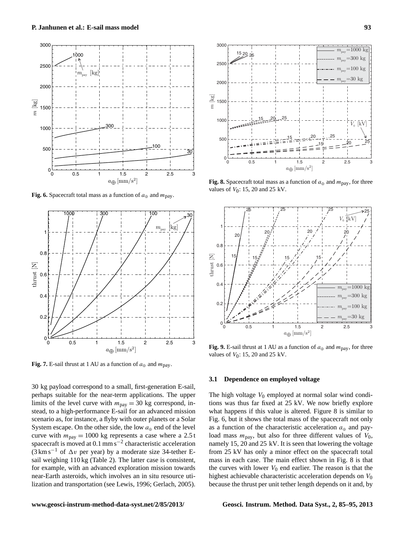

<span id="page-8-2"></span>**Fig. 6.** Spacecraft total mass as a function of  $a_{\oplus}$  and  $m_{\text{pay}}$ .



<span id="page-8-0"></span>**Fig. 7.** E-sail thrust at 1 AU as a function of  $a_{\oplus}$  and  $m_{\text{pay}}$ .

30 kg payload correspond to a small, first-generation E-sail, perhaps suitable for the near-term applications. The upper limits of the level curve with  $m_{\text{pay}} = 30$  kg correspond, instead, to a high-performance E-sail for an advanced mission scenario as, for instance, a flyby with outer planets or a Solar System escape. On the other side, the low  $a_{\oplus}$  end of the level curve with  $m_{\text{pay}} = 1000 \text{ kg}$  represents a case where a 2.5 t spacecraft is moved at  $0.1 \text{ mm s}^{-2}$  characteristic acceleration  $(3 \text{ km s}^{-1}$  of  $\Delta v$  per year) by a moderate size 34-tether Esail weighing 110 kg (Table [2\)](#page-5-1). The latter case is consistent, for example, with an advanced exploration mission towards near-Earth asteroids, which involves an in situ resource utilization and transportation (see [Lewis,](#page-9-15) [1996;](#page-9-15) [Gerlach,](#page-9-16) [2005\)](#page-9-16).



2000

250

3000

 $1520225$ 

<span id="page-8-1"></span>

<span id="page-8-3"></span>**Fig. 9.** E-sail thrust at 1 AU as a function of  $a_{\oplus}$  and  $m_{\text{pav}}$ , for three values of  $V_0$ : 15, 20 and 25 kV.

#### **3.1 Dependence on employed voltage**

The high voltage  $V_0$  employed at normal solar wind conditions was thus far fixed at 25 kV. We now briefly explore what happens if this value is altered. Figure [8](#page-8-1) is similar to Fig. [6,](#page-8-2) but it shows the total mass of the spacecraft not only as a function of the characteristic acceleration  $a_{\oplus}$  and payload mass  $m_{\text{pay}}$ , but also for three different values of  $V_0$ , namely 15, 20 and 25 kV. It is seen that lowering the voltage from 25 kV has only a minor effect on the spacecraft total mass in each case. The main effect shown in Fig. [8](#page-8-1) is that the curves with lower  $V_0$  end earlier. The reason is that the highest achievable characteristic acceleration depends on  $V_0$ because the thrust per unit tether length depends on it and, by

 $=30$  kg  $=100 \text{ k}$  $=300$  kg  $=1000$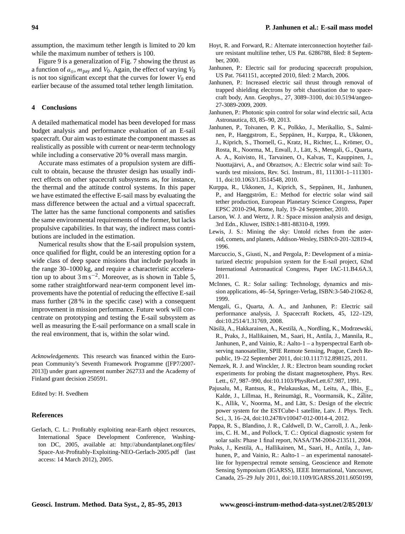assumption, the maximum tether length is limited to 20 km while the maximum number of tethers is 100.

Figure [9](#page-8-3) is a generalization of Fig. [7](#page-8-0) showing the thrust as a function of  $a_{\oplus}$ ,  $m_{\text{pay}}$  and  $V_0$ . Again, the effect of varying  $V_0$ is not too significant except that the curves for lower  $V_0$  end earlier because of the assumed total tether length limitation.

## **4 Conclusions**

A detailed mathematical model has been developed for mass budget analysis and performance evaluation of an E-sail spacecraft. Our aim was to estimate the component masses as realistically as possible with current or near-term technology while including a conservative 20 % overall mass margin.

Accurate mass estimates of a propulsion system are difficult to obtain, because the thruster design has usually indirect effects on other spacecraft subsystems as, for instance, the thermal and the attitude control systems. In this paper we have estimated the effective E-sail mass by evaluating the mass difference between the actual and a virtual spacecraft. The latter has the same functional components and satisfies the same environmental requirements of the former, but lacks propulsive capabilities. In that way, the indirect mass contributions are included in the estimation.

Numerical results show that the E-sail propulsion system, once qualified for flight, could be an interesting option for a wide class of deep space missions that include payloads in the range 30–1000 kg, and require a characteristic acceleration up to about  $3 \text{ m s}^{-2}$ . Moreover, as is shown in Table [5,](#page-7-0) some rather straightforward near-term component level improvements have the potential of reducing the effective E-sail mass further (28 % in the specific case) with a consequent improvement in mission performance. Future work will concentrate on prototyping and testing the E-sail subsystem as well as measuring the E-sail performance on a small scale in the real environment, that is, within the solar wind.

*Acknowledgements.* This research was financed within the European Community's Seventh Framework Programme ([FP7/2007- 2013]) under grant agreement number 262733 and the Academy of Finland grant decision 250591.

Edited by: H. Svedhem

### **References**

<span id="page-9-16"></span>Gerlach, C. L.: Profitably exploiting near-Earth object resources, International Space Development Conference, Washington DC, 2005, available at: [http://abundantplanet.org/files/](http://abundantplanet.org/files/Space-Ast-Profitably-Exploiting-NEO- Gerlach-2005.pdf) [Space-Ast-Profitably-Exploiting-NEO-Gerlach-2005.pdf](http://abundantplanet.org/files/Space-Ast-Profitably-Exploiting-NEO- Gerlach-2005.pdf) (last access: 14 March 2012), 2005.

- <span id="page-9-4"></span>Hoyt, R. and Forward, R.: Alternate interconnection hoytether failure resistant multiline tether, US Pat. 6286788, filed: 8 September, 2000.
- <span id="page-9-0"></span>Janhunen, P.: Electric sail for producing spacecraft propulsion, US Pat. 7641151, accepted 2010, filed: 2 March, 2006.
- <span id="page-9-1"></span>Janhunen, P.: Increased electric sail thrust through removal of trapped shielding electrons by orbit chaotisation due to spacecraft body, Ann. Geophys., 27, 3089–3100, [doi:10.5194/angeo-](http://dx.doi.org/10.5194/angeo-27-3089-2009)[27-3089-2009,](http://dx.doi.org/10.5194/angeo-27-3089-2009) 2009.
- <span id="page-9-14"></span>Janhunen, P.: Photonic spin control for solar wind electric sail, Acta Astronautica, 83, 85–90, 2013.
- <span id="page-9-2"></span>Janhunen, P., Toivanen, P. K., Polkko, J., Merikallio, S., Salminen, P., Haeggstrom, E., Seppänen, H., Kurppa, R., Ukkonen, J., Kiprich, S., Thornell, G., Kratz, H., Richter, L., Krömer, O., Rosta, R., Noorma, M., Envall, J., Latt, S., Mengali, G., Quarta, ¨ A. A., Koivisto, H., Tarvainen, O., Kalvas, T., Kauppinen, J., Nuottajärvi, A., and Obraztsov, A.: Electric solar wind sail: Towards test missions, Rev. Sci. Instrum., 81, 111301-1–111301- 11, [doi:10.1063/1.3514548,](http://dx.doi.org/10.1063/1.3514548) 2010.
- <span id="page-9-5"></span>Kurppa, R., Ukkonen, J., Kiprich, S., Seppänen, H., Janhunen, P., and Haeggström, E.: Method for electric solar wind sail tether production, European Planetary Science Congress, Paper EPSC 2010-294, Rome, Italy, 19–24 September, 2010.
- <span id="page-9-7"></span>Larson, W. J. and Wertz, J. R.: Space mission analysis and design, 3rd Edn., Kluwer, ISBN:1-881-88310-8, 1999.
- <span id="page-9-15"></span>Lewis, J. S.: Mining the sky: Untold riches from the asteroid, comets, and planets, Addison-Wesley, ISBN:0-201-32819-4, 1996.
- <span id="page-9-12"></span>Marcuccio, S., Giusti, N., and Pergola, P.: Development of a miniaturized electric propulsion system for the E-sail project, 62nd International Astronautical Congress, Paper IAC-11.B4.6A.3, 2011.
- <span id="page-9-3"></span>McInnes, C. R.: Solar sailing: Technology, dynamics and mission applications, 46–54, Springer-Verlag, ISBN:3-540-21062-8, 1999.
- <span id="page-9-6"></span>Mengali, G., Quarta, A. A., and Janhunen, P.: Electric sail performance analysis, J. Spacecraft Rockets, 45, 122–129, [doi:10.2514/1.31769,](http://dx.doi.org/10.2514/1.31769) 2008.
- <span id="page-9-11"></span>Näsilä, A., Hakkarainen, A., Kestilä, A., Nordling, K., Modrzewski, R., Praks, J., Hallikainen, M., Saari, H., Antila, J., Mannila, R., Janhunen, P., and Vainio, R.: Aalto-1 – a hyperspectral Earth observing nanosatellite, SPIE Remote Sensing, Prague, Czech Republic, 19–22 September 2011, [doi:10.1117/12.898125,](http://dx.doi.org/10.1117/12.898125) 2011.
- <span id="page-9-8"></span>Nemzek, R. J. and Winckler, J. R.: Electron beam sounding rocket experiments for probing the distant magnetosphere, Phys. Rev. Lett., 67, 987–990, [doi:10.1103/PhysRevLett.67.987,](http://dx.doi.org/10.1103/PhysRevLett.67.987) 1991.
- <span id="page-9-9"></span>Pajusalu, M., Rantsus, R., Pelakauskas, M., Leitu, A., Ilbis, E., Kalde, J., Lillmaa, H., Reinumägi, R., Voormansik, K., Zālite, K., Allik, V., Noorma, M., and Lätt, S.: Design of the electric power system for the ESTCube-1 satellite, Latv. J. Phys. Tech. Sci., 3, 16–24, [doi:10.2478/v10047-012-0014-4,](http://dx.doi.org/10.2478/v10047-012-0014-4) 2012.
- <span id="page-9-13"></span>Pappa, R. S., Blandino, J. R., Caldwell, D. W., Carroll, J. A., Jenkins, C. H. M., and Pollock, T. C.: Optical diagnostic system for solar sails: Phase 1 final report, NASA/TM-2004-213511, 2004.
- <span id="page-9-10"></span>Praks, J., Kestila, A., Hallikainen, M., Saari, H., Antila, J., Jan- ¨ hunen, P., and Vainio, R.: Aalto-1 – an experimental nanosatellite for hyperspectral remote sensing, Geoscience and Remote Sensing Symposium (IGARSS), IEEE International, Vancouver, Canada, 25–29 July 2011, [doi:10.1109/IGARSS.2011.6050199,](http://dx.doi.org/10.1109/IGARSS.2011.6050199)